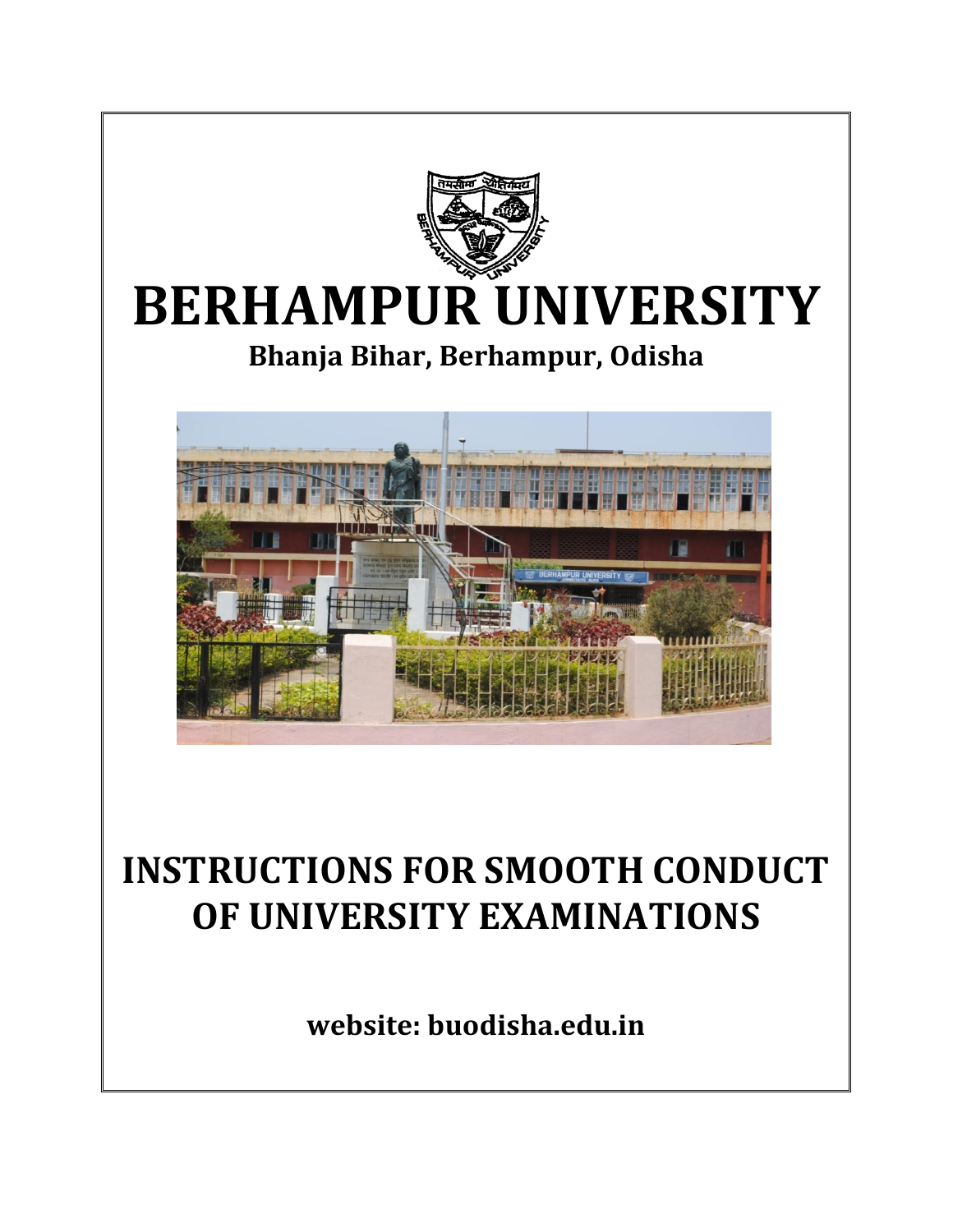

# **INSTRUCTIONS FOR SMOOTH CONDUCT OF UNIVERSITY EXAMINATIONS**

**website: buodisha.edu.in**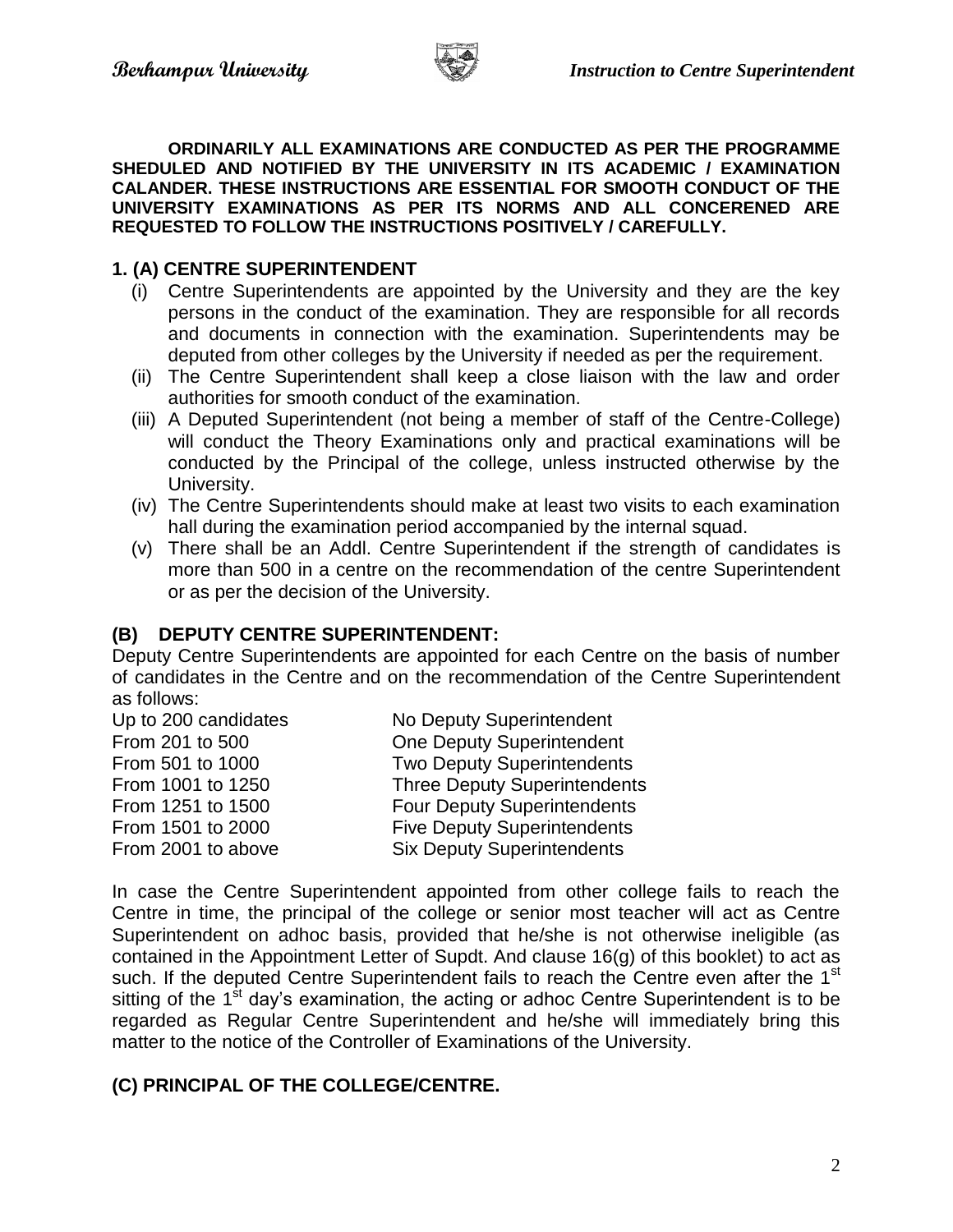

**ORDINARILY ALL EXAMINATIONS ARE CONDUCTED AS PER THE PROGRAMME SHEDULED AND NOTIFIED BY THE UNIVERSITY IN ITS ACADEMIC / EXAMINATION CALANDER. THESE INSTRUCTIONS ARE ESSENTIAL FOR SMOOTH CONDUCT OF THE UNIVERSITY EXAMINATIONS AS PER ITS NORMS AND ALL CONCERENED ARE REQUESTED TO FOLLOW THE INSTRUCTIONS POSITIVELY / CAREFULLY.**

#### **1. (A) CENTRE SUPERINTENDENT**

- (i) Centre Superintendents are appointed by the University and they are the key persons in the conduct of the examination. They are responsible for all records and documents in connection with the examination. Superintendents may be deputed from other colleges by the University if needed as per the requirement.
- (ii) The Centre Superintendent shall keep a close liaison with the law and order authorities for smooth conduct of the examination.
- (iii) A Deputed Superintendent (not being a member of staff of the Centre-College) will conduct the Theory Examinations only and practical examinations will be conducted by the Principal of the college, unless instructed otherwise by the University.
- (iv) The Centre Superintendents should make at least two visits to each examination hall during the examination period accompanied by the internal squad.
- (v) There shall be an Addl. Centre Superintendent if the strength of candidates is more than 500 in a centre on the recommendation of the centre Superintendent or as per the decision of the University.

# **(B) DEPUTY CENTRE SUPERINTENDENT:**

Deputy Centre Superintendents are appointed for each Centre on the basis of number of candidates in the Centre and on the recommendation of the Centre Superintendent as follows:

| Up to 200 candidates | No Deputy Superintendent            |
|----------------------|-------------------------------------|
| From 201 to 500      | <b>One Deputy Superintendent</b>    |
| From 501 to 1000     | <b>Two Deputy Superintendents</b>   |
| From 1001 to 1250    | <b>Three Deputy Superintendents</b> |
| From 1251 to 1500    | <b>Four Deputy Superintendents</b>  |
| From 1501 to 2000    | <b>Five Deputy Superintendents</b>  |
| From 2001 to above   | <b>Six Deputy Superintendents</b>   |

In case the Centre Superintendent appointed from other college fails to reach the Centre in time, the principal of the college or senior most teacher will act as Centre Superintendent on adhoc basis, provided that he/she is not otherwise ineligible (as contained in the Appointment Letter of Supdt. And clause 16(g) of this booklet) to act as such. If the deputed Centre Superintendent fails to reach the Centre even after the 1<sup>st</sup> sitting of the  $1<sup>st</sup>$  day's examination, the acting or adhoc Centre Superintendent is to be regarded as Regular Centre Superintendent and he/she will immediately bring this matter to the notice of the Controller of Examinations of the University.

# **(C) PRINCIPAL OF THE COLLEGE/CENTRE.**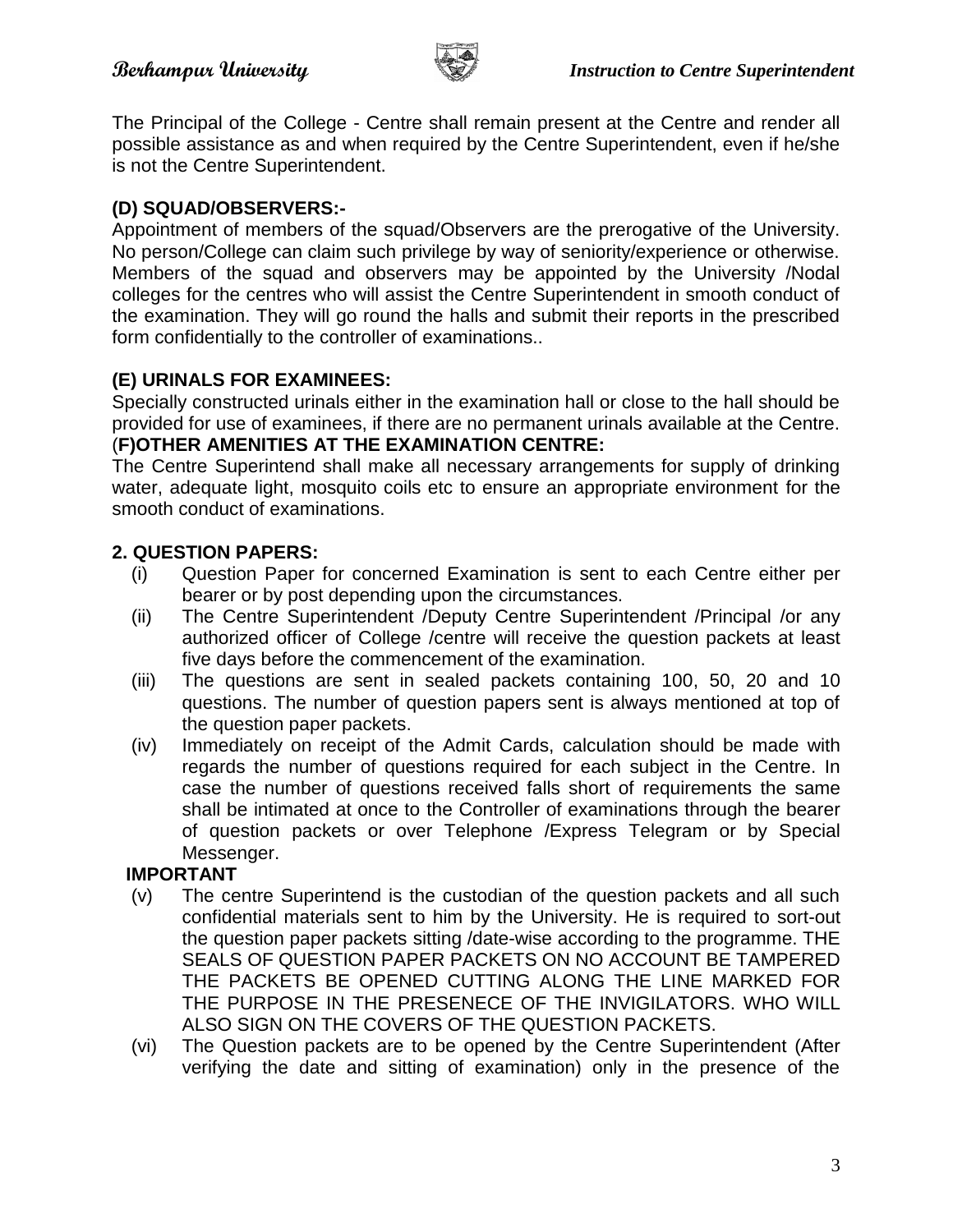

The Principal of the College - Centre shall remain present at the Centre and render all possible assistance as and when required by the Centre Superintendent, even if he/she is not the Centre Superintendent.

# **(D) SQUAD/OBSERVERS:-**

Appointment of members of the squad/Observers are the prerogative of the University. No person/College can claim such privilege by way of seniority/experience or otherwise. Members of the squad and observers may be appointed by the University /Nodal colleges for the centres who will assist the Centre Superintendent in smooth conduct of the examination. They will go round the halls and submit their reports in the prescribed form confidentially to the controller of examinations..

# **(E) URINALS FOR EXAMINEES:**

Specially constructed urinals either in the examination hall or close to the hall should be provided for use of examinees, if there are no permanent urinals available at the Centre. (**F)OTHER AMENITIES AT THE EXAMINATION CENTRE:**

The Centre Superintend shall make all necessary arrangements for supply of drinking water, adequate light, mosquito coils etc to ensure an appropriate environment for the smooth conduct of examinations.

# **2. QUESTION PAPERS:**

- (i) Question Paper for concerned Examination is sent to each Centre either per bearer or by post depending upon the circumstances.
- (ii) The Centre Superintendent /Deputy Centre Superintendent /Principal /or any authorized officer of College /centre will receive the question packets at least five days before the commencement of the examination.
- (iii) The questions are sent in sealed packets containing 100, 50, 20 and 10 questions. The number of question papers sent is always mentioned at top of the question paper packets.
- (iv) Immediately on receipt of the Admit Cards, calculation should be made with regards the number of questions required for each subject in the Centre. In case the number of questions received falls short of requirements the same shall be intimated at once to the Controller of examinations through the bearer of question packets or over Telephone /Express Telegram or by Special Messenger.

# **IMPORTANT**

- (v) The centre Superintend is the custodian of the question packets and all such confidential materials sent to him by the University. He is required to sort-out the question paper packets sitting /date-wise according to the programme. THE SEALS OF QUESTION PAPER PACKETS ON NO ACCOUNT BE TAMPERED THE PACKETS BE OPENED CUTTING ALONG THE LINE MARKED FOR THE PURPOSE IN THE PRESENECE OF THE INVIGILATORS. WHO WILL ALSO SIGN ON THE COVERS OF THE QUESTION PACKETS.
- (vi) The Question packets are to be opened by the Centre Superintendent (After verifying the date and sitting of examination) only in the presence of the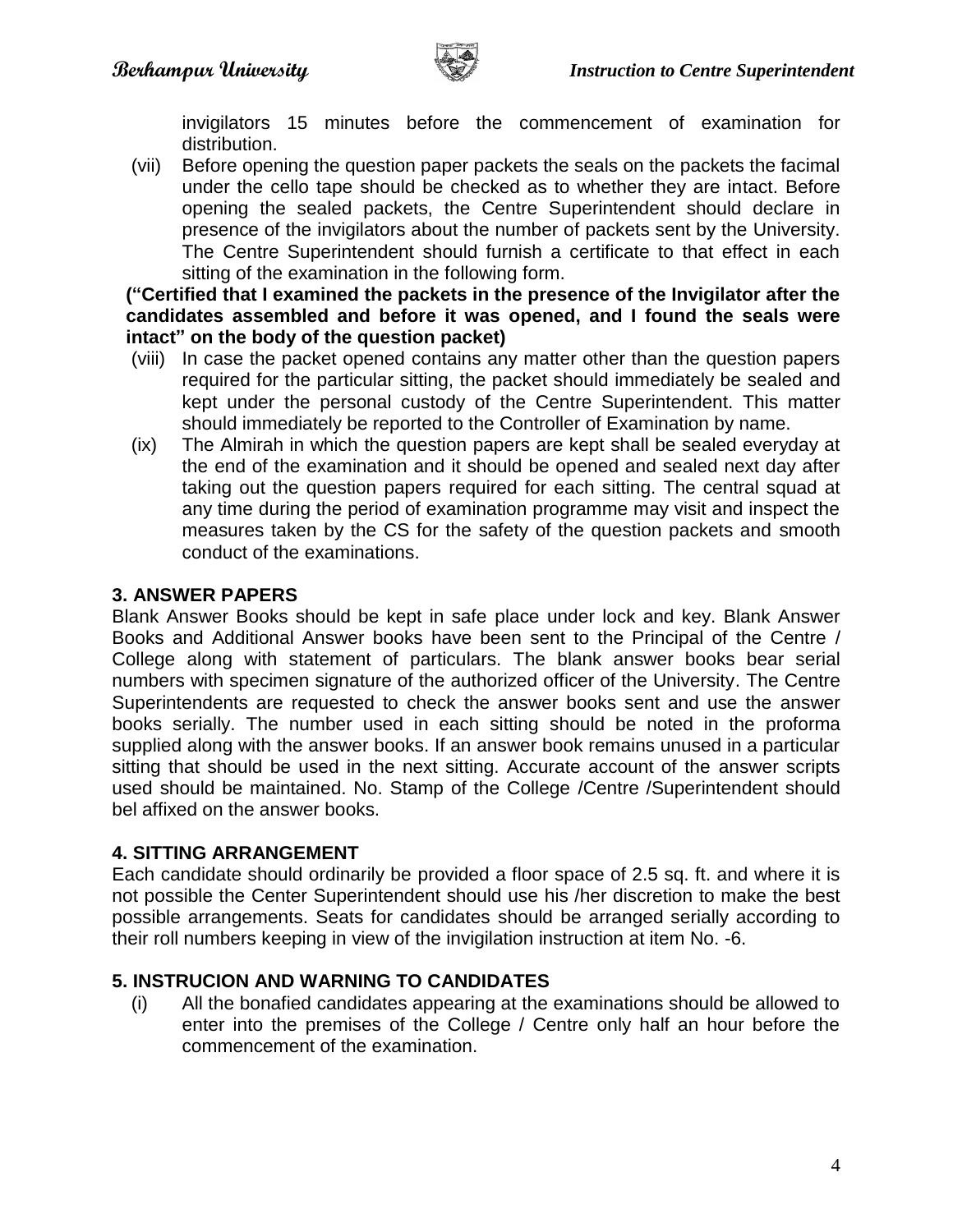

invigilators 15 minutes before the commencement of examination for distribution.

(vii) Before opening the question paper packets the seals on the packets the facimal under the cello tape should be checked as to whether they are intact. Before opening the sealed packets, the Centre Superintendent should declare in presence of the invigilators about the number of packets sent by the University. The Centre Superintendent should furnish a certificate to that effect in each sitting of the examination in the following form.

**("Certified that I examined the packets in the presence of the Invigilator after the candidates assembled and before it was opened, and I found the seals were intact" on the body of the question packet)**

- (viii) In case the packet opened contains any matter other than the question papers required for the particular sitting, the packet should immediately be sealed and kept under the personal custody of the Centre Superintendent. This matter should immediately be reported to the Controller of Examination by name.
- (ix) The Almirah in which the question papers are kept shall be sealed everyday at the end of the examination and it should be opened and sealed next day after taking out the question papers required for each sitting. The central squad at any time during the period of examination programme may visit and inspect the measures taken by the CS for the safety of the question packets and smooth conduct of the examinations.

# **3. ANSWER PAPERS**

Blank Answer Books should be kept in safe place under lock and key. Blank Answer Books and Additional Answer books have been sent to the Principal of the Centre / College along with statement of particulars. The blank answer books bear serial numbers with specimen signature of the authorized officer of the University. The Centre Superintendents are requested to check the answer books sent and use the answer books serially. The number used in each sitting should be noted in the proforma supplied along with the answer books. If an answer book remains unused in a particular sitting that should be used in the next sitting. Accurate account of the answer scripts used should be maintained. No. Stamp of the College /Centre /Superintendent should bel affixed on the answer books.

# **4. SITTING ARRANGEMENT**

Each candidate should ordinarily be provided a floor space of 2.5 sq. ft. and where it is not possible the Center Superintendent should use his /her discretion to make the best possible arrangements. Seats for candidates should be arranged serially according to their roll numbers keeping in view of the invigilation instruction at item No. -6.

# **5. INSTRUCION AND WARNING TO CANDIDATES**

(i) All the bonafied candidates appearing at the examinations should be allowed to enter into the premises of the College / Centre only half an hour before the commencement of the examination.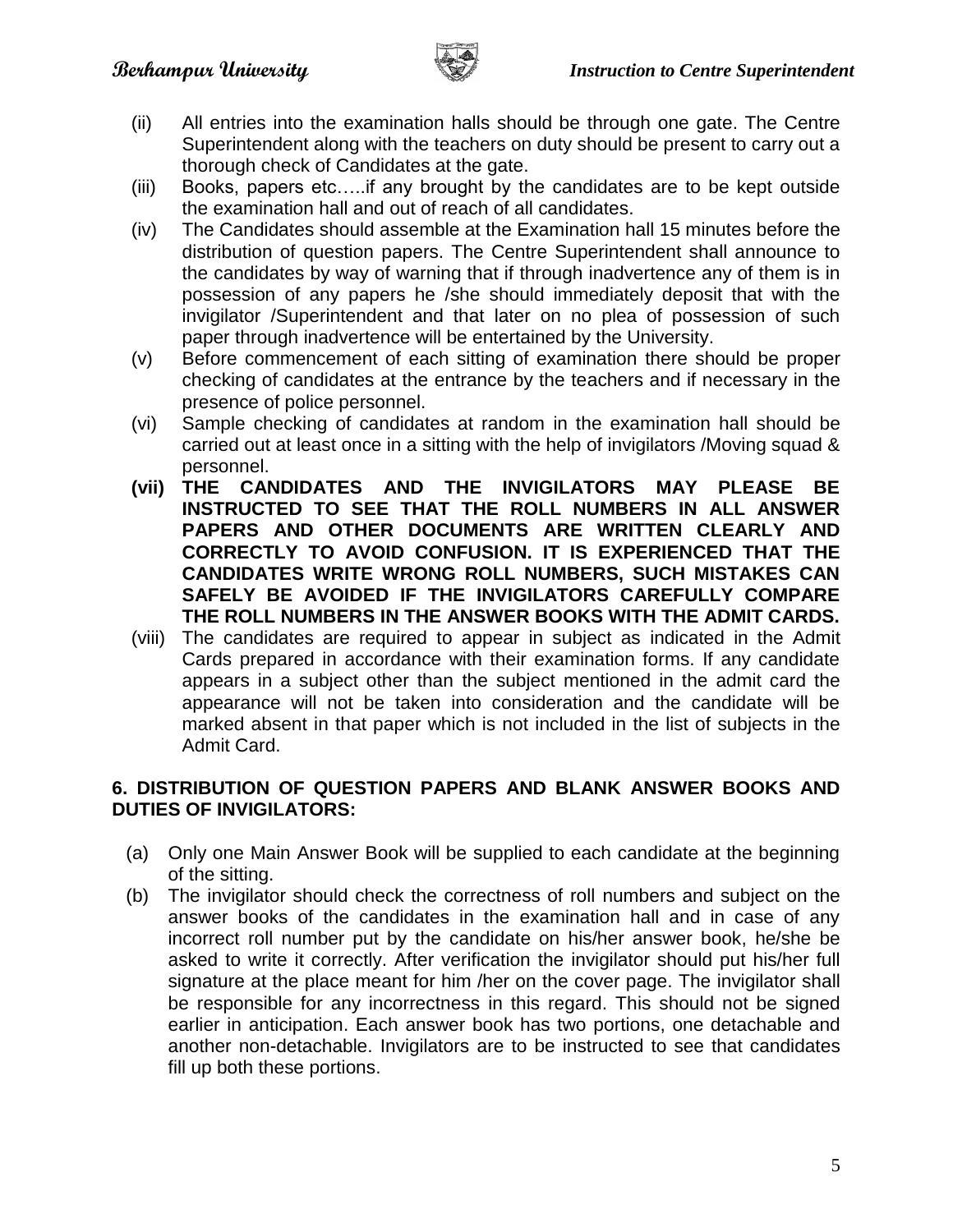

- (ii) All entries into the examination halls should be through one gate. The Centre Superintendent along with the teachers on duty should be present to carry out a thorough check of Candidates at the gate.
- (iii) Books, papers etc…..if any brought by the candidates are to be kept outside the examination hall and out of reach of all candidates.
- (iv) The Candidates should assemble at the Examination hall 15 minutes before the distribution of question papers. The Centre Superintendent shall announce to the candidates by way of warning that if through inadvertence any of them is in possession of any papers he /she should immediately deposit that with the invigilator /Superintendent and that later on no plea of possession of such paper through inadvertence will be entertained by the University.
- (v) Before commencement of each sitting of examination there should be proper checking of candidates at the entrance by the teachers and if necessary in the presence of police personnel.
- (vi) Sample checking of candidates at random in the examination hall should be carried out at least once in a sitting with the help of invigilators /Moving squad & personnel.
- **(vii) THE CANDIDATES AND THE INVIGILATORS MAY PLEASE BE INSTRUCTED TO SEE THAT THE ROLL NUMBERS IN ALL ANSWER PAPERS AND OTHER DOCUMENTS ARE WRITTEN CLEARLY AND CORRECTLY TO AVOID CONFUSION. IT IS EXPERIENCED THAT THE CANDIDATES WRITE WRONG ROLL NUMBERS, SUCH MISTAKES CAN SAFELY BE AVOIDED IF THE INVIGILATORS CAREFULLY COMPARE THE ROLL NUMBERS IN THE ANSWER BOOKS WITH THE ADMIT CARDS.**
- (viii) The candidates are required to appear in subject as indicated in the Admit Cards prepared in accordance with their examination forms. If any candidate appears in a subject other than the subject mentioned in the admit card the appearance will not be taken into consideration and the candidate will be marked absent in that paper which is not included in the list of subjects in the Admit Card.

# **6. DISTRIBUTION OF QUESTION PAPERS AND BLANK ANSWER BOOKS AND DUTIES OF INVIGILATORS:**

- (a) Only one Main Answer Book will be supplied to each candidate at the beginning of the sitting.
- (b) The invigilator should check the correctness of roll numbers and subject on the answer books of the candidates in the examination hall and in case of any incorrect roll number put by the candidate on his/her answer book, he/she be asked to write it correctly. After verification the invigilator should put his/her full signature at the place meant for him /her on the cover page. The invigilator shall be responsible for any incorrectness in this regard. This should not be signed earlier in anticipation. Each answer book has two portions, one detachable and another non-detachable. Invigilators are to be instructed to see that candidates fill up both these portions.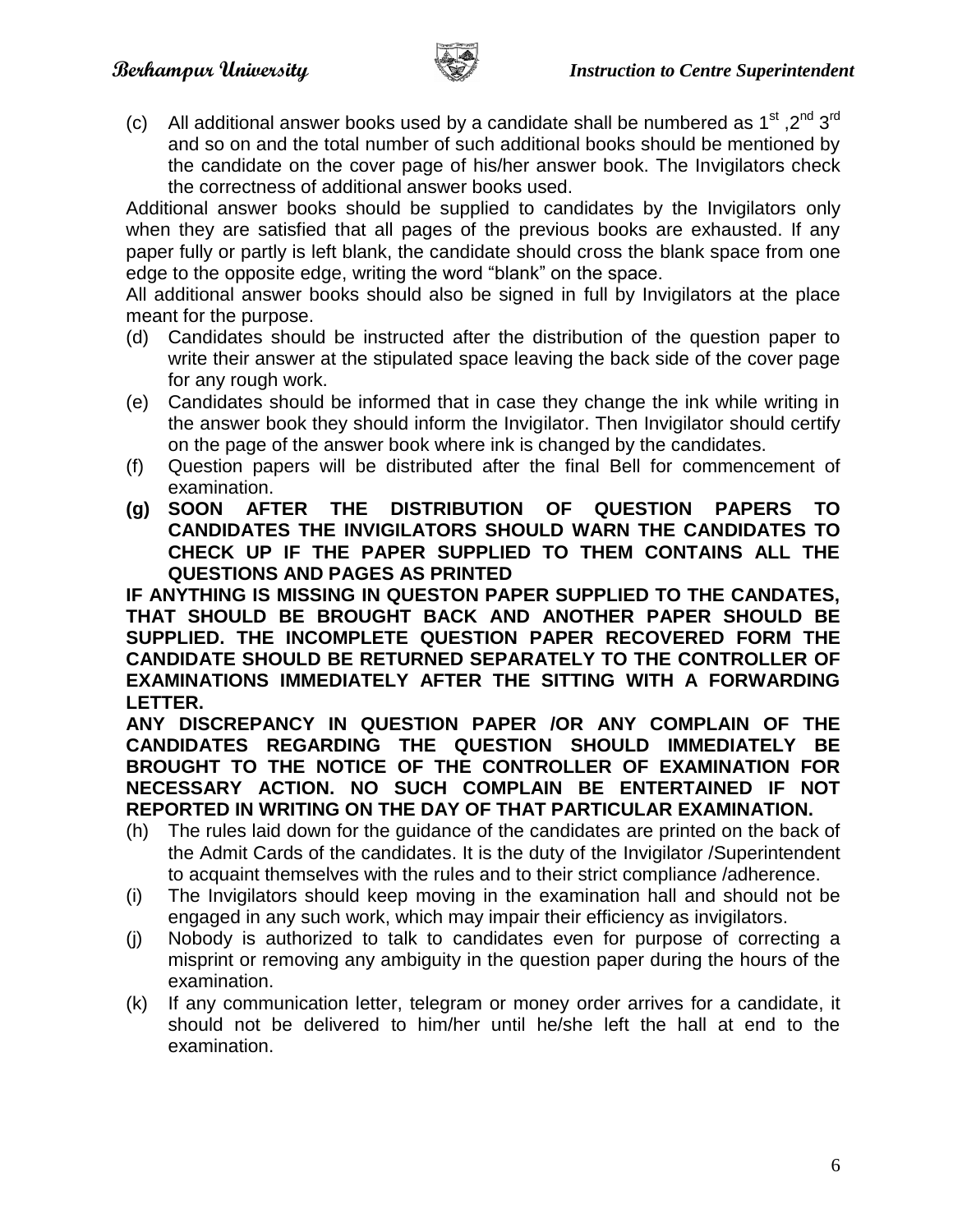

(c) All additional answer books used by a candidate shall be numbered as 1<sup>st</sup>, 2<sup>nd</sup> 3<sup>rd</sup> and so on and the total number of such additional books should be mentioned by the candidate on the cover page of his/her answer book. The Invigilators check the correctness of additional answer books used.

Additional answer books should be supplied to candidates by the Invigilators only when they are satisfied that all pages of the previous books are exhausted. If any paper fully or partly is left blank, the candidate should cross the blank space from one edge to the opposite edge, writing the word "blank" on the space.

All additional answer books should also be signed in full by Invigilators at the place meant for the purpose.

- (d) Candidates should be instructed after the distribution of the question paper to write their answer at the stipulated space leaving the back side of the cover page for any rough work.
- (e) Candidates should be informed that in case they change the ink while writing in the answer book they should inform the Invigilator. Then Invigilator should certify on the page of the answer book where ink is changed by the candidates.
- (f) Question papers will be distributed after the final Bell for commencement of examination.
- **(g) SOON AFTER THE DISTRIBUTION OF QUESTION PAPERS TO CANDIDATES THE INVIGILATORS SHOULD WARN THE CANDIDATES TO CHECK UP IF THE PAPER SUPPLIED TO THEM CONTAINS ALL THE QUESTIONS AND PAGES AS PRINTED**

**IF ANYTHING IS MISSING IN QUESTON PAPER SUPPLIED TO THE CANDATES, THAT SHOULD BE BROUGHT BACK AND ANOTHER PAPER SHOULD BE SUPPLIED. THE INCOMPLETE QUESTION PAPER RECOVERED FORM THE CANDIDATE SHOULD BE RETURNED SEPARATELY TO THE CONTROLLER OF EXAMINATIONS IMMEDIATELY AFTER THE SITTING WITH A FORWARDING LETTER.**

**ANY DISCREPANCY IN QUESTION PAPER /OR ANY COMPLAIN OF THE CANDIDATES REGARDING THE QUESTION SHOULD IMMEDIATELY BE BROUGHT TO THE NOTICE OF THE CONTROLLER OF EXAMINATION FOR NECESSARY ACTION. NO SUCH COMPLAIN BE ENTERTAINED IF NOT REPORTED IN WRITING ON THE DAY OF THAT PARTICULAR EXAMINATION.**

- (h) The rules laid down for the guidance of the candidates are printed on the back of the Admit Cards of the candidates. It is the duty of the Invigilator /Superintendent to acquaint themselves with the rules and to their strict compliance /adherence.
- (i) The Invigilators should keep moving in the examination hall and should not be engaged in any such work, which may impair their efficiency as invigilators.
- (j) Nobody is authorized to talk to candidates even for purpose of correcting a misprint or removing any ambiguity in the question paper during the hours of the examination.
- (k) If any communication letter, telegram or money order arrives for a candidate, it should not be delivered to him/her until he/she left the hall at end to the examination.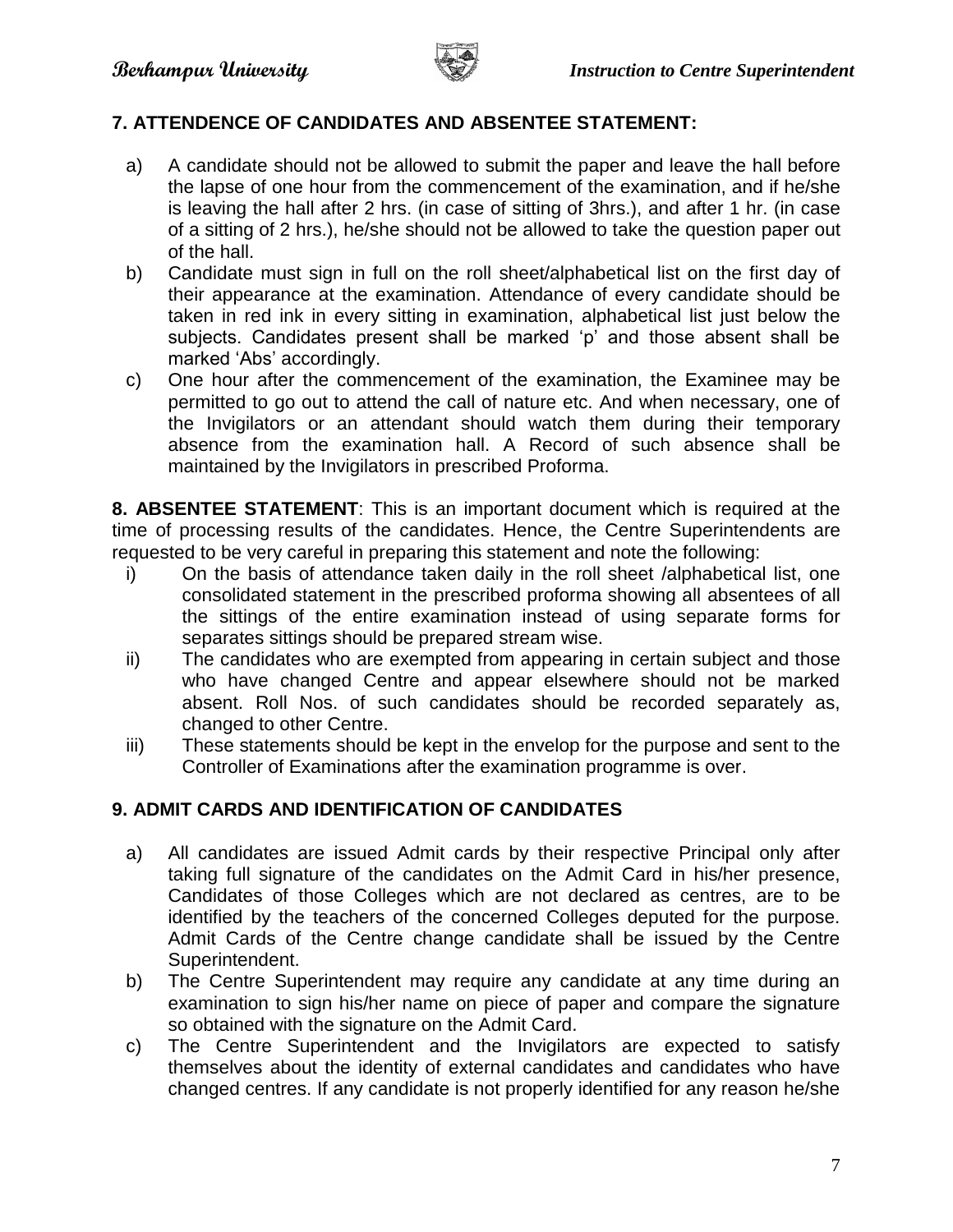

# **7. ATTENDENCE OF CANDIDATES AND ABSENTEE STATEMENT:**

- a) A candidate should not be allowed to submit the paper and leave the hall before the lapse of one hour from the commencement of the examination, and if he/she is leaving the hall after 2 hrs. (in case of sitting of 3hrs.), and after 1 hr. (in case of a sitting of 2 hrs.), he/she should not be allowed to take the question paper out of the hall.
- b) Candidate must sign in full on the roll sheet/alphabetical list on the first day of their appearance at the examination. Attendance of every candidate should be taken in red ink in every sitting in examination, alphabetical list just below the subjects. Candidates present shall be marked 'p' and those absent shall be marked 'Abs' accordingly.
- c) One hour after the commencement of the examination, the Examinee may be permitted to go out to attend the call of nature etc. And when necessary, one of the Invigilators or an attendant should watch them during their temporary absence from the examination hall. A Record of such absence shall be maintained by the Invigilators in prescribed Proforma.

**8. ABSENTEE STATEMENT**: This is an important document which is required at the time of processing results of the candidates. Hence, the Centre Superintendents are requested to be very careful in preparing this statement and note the following:

- i) On the basis of attendance taken daily in the roll sheet /alphabetical list, one consolidated statement in the prescribed proforma showing all absentees of all the sittings of the entire examination instead of using separate forms for separates sittings should be prepared stream wise.
- ii) The candidates who are exempted from appearing in certain subject and those who have changed Centre and appear elsewhere should not be marked absent. Roll Nos. of such candidates should be recorded separately as, changed to other Centre.
- iii) These statements should be kept in the envelop for the purpose and sent to the Controller of Examinations after the examination programme is over.

#### **9. ADMIT CARDS AND IDENTIFICATION OF CANDIDATES**

- a) All candidates are issued Admit cards by their respective Principal only after taking full signature of the candidates on the Admit Card in his/her presence, Candidates of those Colleges which are not declared as centres, are to be identified by the teachers of the concerned Colleges deputed for the purpose. Admit Cards of the Centre change candidate shall be issued by the Centre Superintendent.
- b) The Centre Superintendent may require any candidate at any time during an examination to sign his/her name on piece of paper and compare the signature so obtained with the signature on the Admit Card.
- c) The Centre Superintendent and the Invigilators are expected to satisfy themselves about the identity of external candidates and candidates who have changed centres. If any candidate is not properly identified for any reason he/she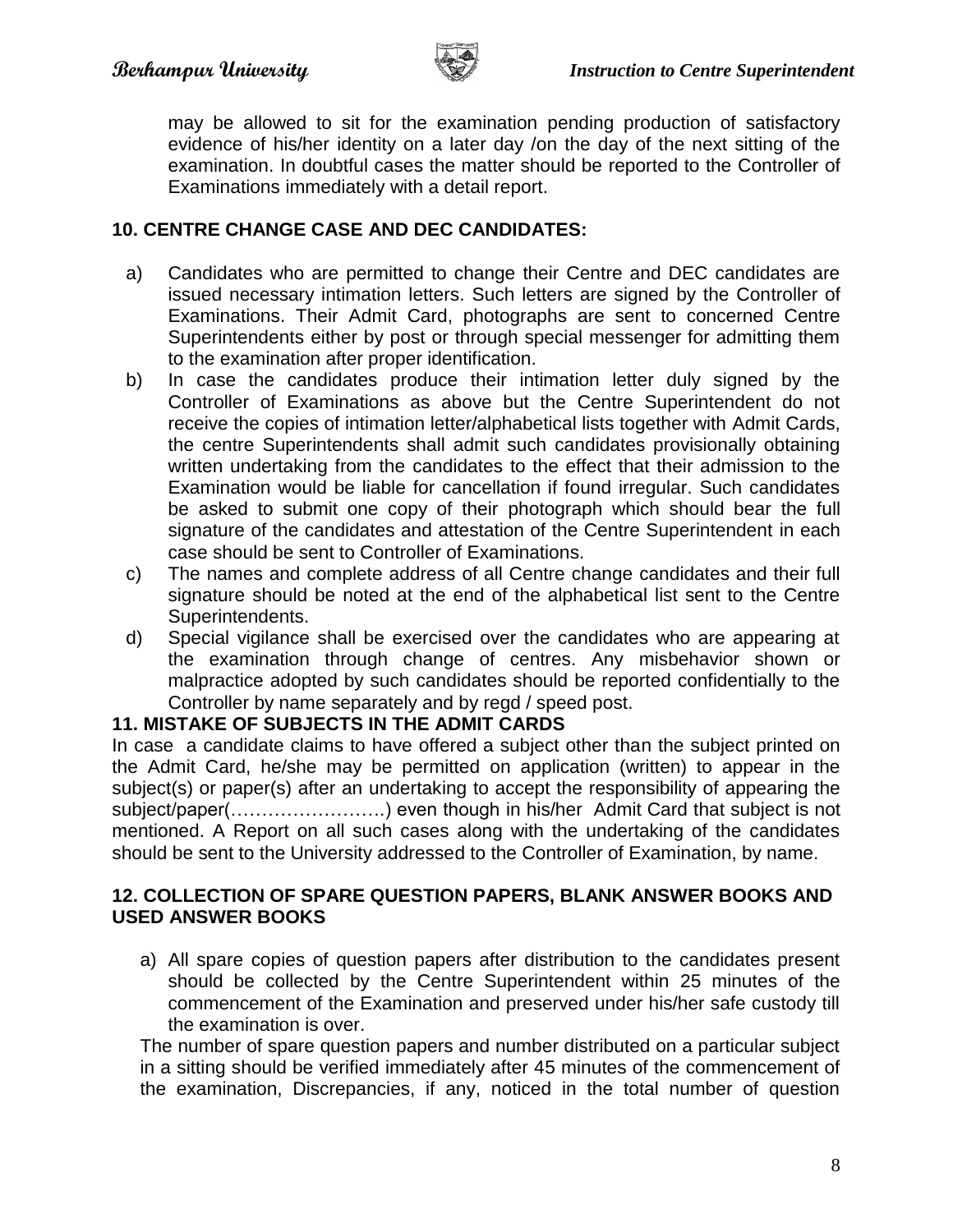

may be allowed to sit for the examination pending production of satisfactory evidence of his/her identity on a later day /on the day of the next sitting of the examination. In doubtful cases the matter should be reported to the Controller of Examinations immediately with a detail report.

## **10. CENTRE CHANGE CASE AND DEC CANDIDATES:**

- a) Candidates who are permitted to change their Centre and DEC candidates are issued necessary intimation letters. Such letters are signed by the Controller of Examinations. Their Admit Card, photographs are sent to concerned Centre Superintendents either by post or through special messenger for admitting them to the examination after proper identification.
- b) In case the candidates produce their intimation letter duly signed by the Controller of Examinations as above but the Centre Superintendent do not receive the copies of intimation letter/alphabetical lists together with Admit Cards, the centre Superintendents shall admit such candidates provisionally obtaining written undertaking from the candidates to the effect that their admission to the Examination would be liable for cancellation if found irregular. Such candidates be asked to submit one copy of their photograph which should bear the full signature of the candidates and attestation of the Centre Superintendent in each case should be sent to Controller of Examinations.
- c) The names and complete address of all Centre change candidates and their full signature should be noted at the end of the alphabetical list sent to the Centre Superintendents.
- d) Special vigilance shall be exercised over the candidates who are appearing at the examination through change of centres. Any misbehavior shown or malpractice adopted by such candidates should be reported confidentially to the Controller by name separately and by regd / speed post.

#### **11. MISTAKE OF SUBJECTS IN THE ADMIT CARDS**

In case a candidate claims to have offered a subject other than the subject printed on the Admit Card, he/she may be permitted on application (written) to appear in the subject(s) or paper(s) after an undertaking to accept the responsibility of appearing the subject/paper(…………………….) even though in his/her Admit Card that subject is not mentioned. A Report on all such cases along with the undertaking of the candidates should be sent to the University addressed to the Controller of Examination, by name.

## **12. COLLECTION OF SPARE QUESTION PAPERS, BLANK ANSWER BOOKS AND USED ANSWER BOOKS**

a) All spare copies of question papers after distribution to the candidates present should be collected by the Centre Superintendent within 25 minutes of the commencement of the Examination and preserved under his/her safe custody till the examination is over.

The number of spare question papers and number distributed on a particular subject in a sitting should be verified immediately after 45 minutes of the commencement of the examination, Discrepancies, if any, noticed in the total number of question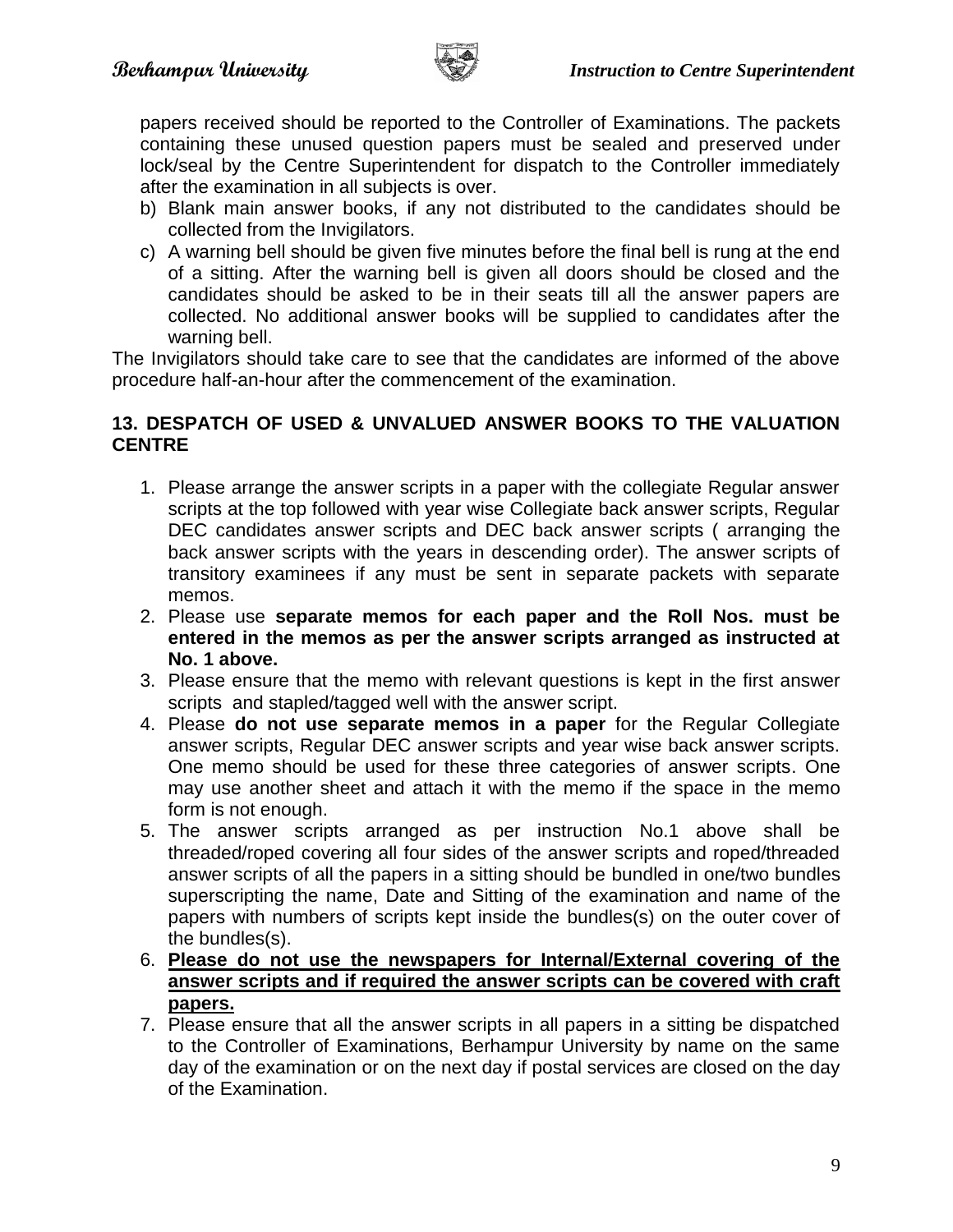

papers received should be reported to the Controller of Examinations. The packets containing these unused question papers must be sealed and preserved under lock/seal by the Centre Superintendent for dispatch to the Controller immediately after the examination in all subjects is over.

- b) Blank main answer books, if any not distributed to the candidates should be collected from the Invigilators.
- c) A warning bell should be given five minutes before the final bell is rung at the end of a sitting. After the warning bell is given all doors should be closed and the candidates should be asked to be in their seats till all the answer papers are collected. No additional answer books will be supplied to candidates after the warning bell.

The Invigilators should take care to see that the candidates are informed of the above procedure half-an-hour after the commencement of the examination.

## **13. DESPATCH OF USED & UNVALUED ANSWER BOOKS TO THE VALUATION CENTRE**

- 1. Please arrange the answer scripts in a paper with the collegiate Regular answer scripts at the top followed with year wise Collegiate back answer scripts, Regular DEC candidates answer scripts and DEC back answer scripts ( arranging the back answer scripts with the years in descending order). The answer scripts of transitory examinees if any must be sent in separate packets with separate memos.
- 2. Please use **separate memos for each paper and the Roll Nos. must be entered in the memos as per the answer scripts arranged as instructed at No. 1 above.**
- 3. Please ensure that the memo with relevant questions is kept in the first answer scripts and stapled/tagged well with the answer script.
- 4. Please **do not use separate memos in a paper** for the Regular Collegiate answer scripts, Regular DEC answer scripts and year wise back answer scripts. One memo should be used for these three categories of answer scripts. One may use another sheet and attach it with the memo if the space in the memo form is not enough.
- 5. The answer scripts arranged as per instruction No.1 above shall be threaded/roped covering all four sides of the answer scripts and roped/threaded answer scripts of all the papers in a sitting should be bundled in one/two bundles superscripting the name, Date and Sitting of the examination and name of the papers with numbers of scripts kept inside the bundles(s) on the outer cover of the bundles(s).
- 6. **Please do not use the newspapers for Internal/External covering of the answer scripts and if required the answer scripts can be covered with craft papers.**
- 7. Please ensure that all the answer scripts in all papers in a sitting be dispatched to the Controller of Examinations, Berhampur University by name on the same day of the examination or on the next day if postal services are closed on the day of the Examination.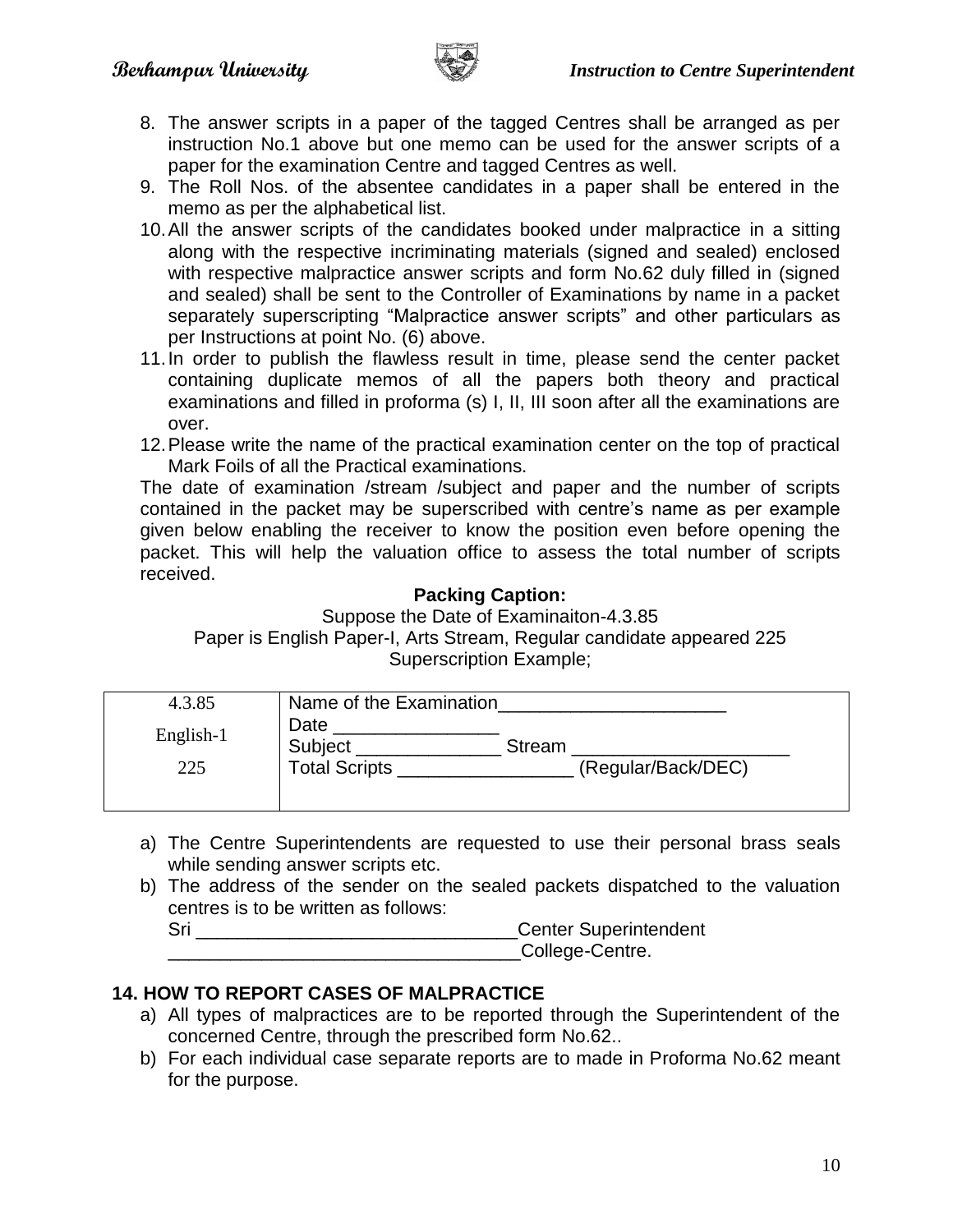

- 8. The answer scripts in a paper of the tagged Centres shall be arranged as per instruction No.1 above but one memo can be used for the answer scripts of a paper for the examination Centre and tagged Centres as well.
- 9. The Roll Nos. of the absentee candidates in a paper shall be entered in the memo as per the alphabetical list.
- 10.All the answer scripts of the candidates booked under malpractice in a sitting along with the respective incriminating materials (signed and sealed) enclosed with respective malpractice answer scripts and form No.62 duly filled in (signed and sealed) shall be sent to the Controller of Examinations by name in a packet separately superscripting "Malpractice answer scripts" and other particulars as per Instructions at point No. (6) above.
- 11.In order to publish the flawless result in time, please send the center packet containing duplicate memos of all the papers both theory and practical examinations and filled in proforma (s) I, II, III soon after all the examinations are over.
- 12.Please write the name of the practical examination center on the top of practical Mark Foils of all the Practical examinations.

The date of examination /stream /subject and paper and the number of scripts contained in the packet may be superscribed with centre's name as per example given below enabling the receiver to know the position even before opening the packet. This will help the valuation office to assess the total number of scripts received.

## **Packing Caption:**

Suppose the Date of Examinaiton-4.3.85 Paper is English Paper-I, Arts Stream, Regular candidate appeared 225 Superscription Example;

| 4.3.85           | Name of the Examination                 |        |                    |
|------------------|-----------------------------------------|--------|--------------------|
| English-1<br>225 | Date<br>Subject<br><b>Total Scripts</b> | Stream | (Regular/Back/DEC) |
|                  |                                         |        |                    |

- a) The Centre Superintendents are requested to use their personal brass seals while sending answer scripts etc.
- b) The address of the sender on the sealed packets dispatched to the valuation centres is to be written as follows:

Sri **Example 2018** Center Superintendent College-Centre.

# **14. HOW TO REPORT CASES OF MALPRACTICE**

- a) All types of malpractices are to be reported through the Superintendent of the concerned Centre, through the prescribed form No.62..
- b) For each individual case separate reports are to made in Proforma No.62 meant for the purpose.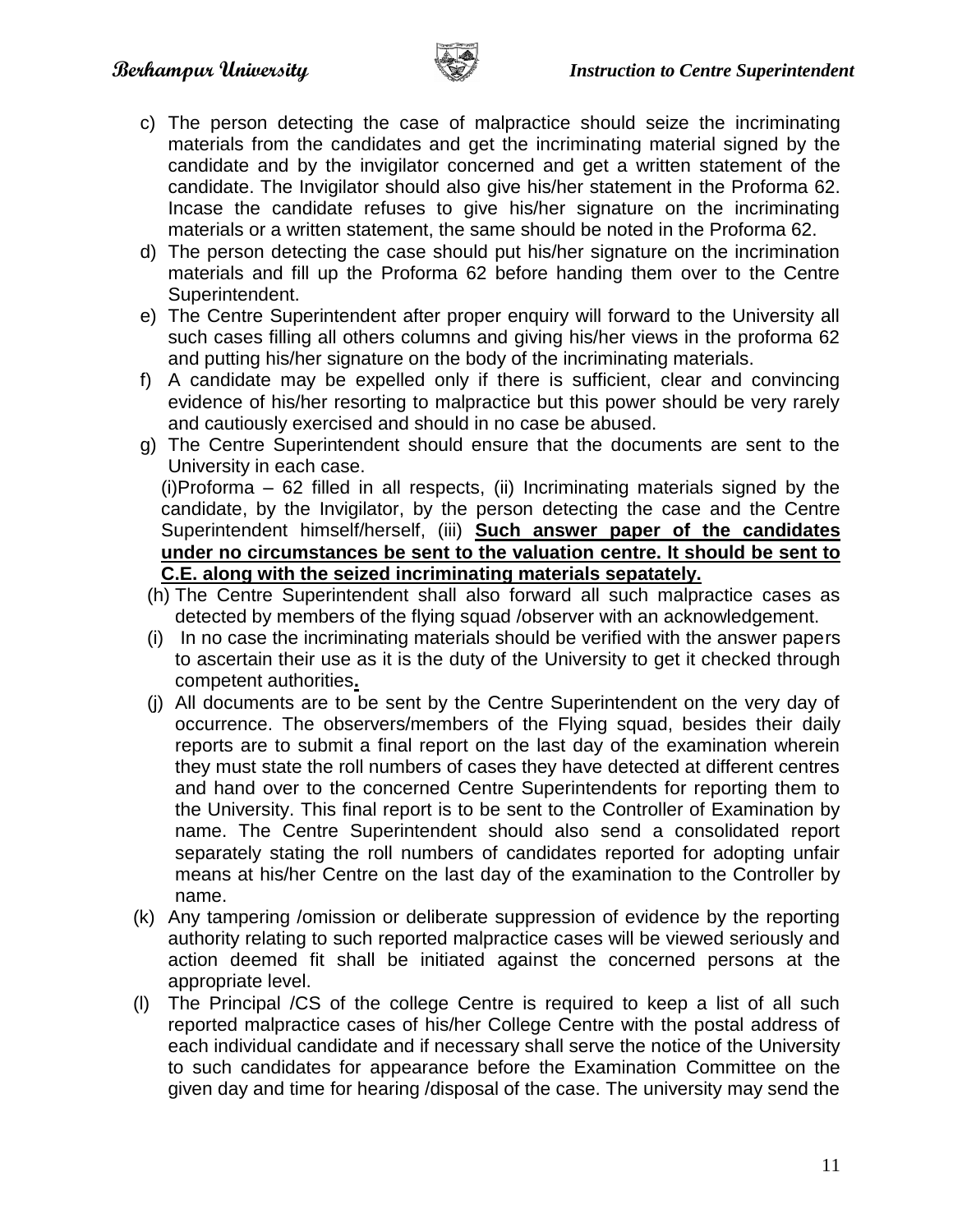

- c) The person detecting the case of malpractice should seize the incriminating materials from the candidates and get the incriminating material signed by the candidate and by the invigilator concerned and get a written statement of the candidate. The Invigilator should also give his/her statement in the Proforma 62. Incase the candidate refuses to give his/her signature on the incriminating materials or a written statement, the same should be noted in the Proforma 62.
- d) The person detecting the case should put his/her signature on the incrimination materials and fill up the Proforma 62 before handing them over to the Centre Superintendent.
- e) The Centre Superintendent after proper enquiry will forward to the University all such cases filling all others columns and giving his/her views in the proforma 62 and putting his/her signature on the body of the incriminating materials.
- f) A candidate may be expelled only if there is sufficient, clear and convincing evidence of his/her resorting to malpractice but this power should be very rarely and cautiously exercised and should in no case be abused.
- g) The Centre Superintendent should ensure that the documents are sent to the University in each case.

(i)Proforma – 62 filled in all respects, (ii) Incriminating materials signed by the candidate, by the Invigilator, by the person detecting the case and the Centre Superintendent himself/herself, (iii) **Such answer paper of the candidates under no circumstances be sent to the valuation centre. It should be sent to C.E. along with the seized incriminating materials sepatately.**

- (h) The Centre Superintendent shall also forward all such malpractice cases as detected by members of the flying squad /observer with an acknowledgement.
- (i) In no case the incriminating materials should be verified with the answer papers to ascertain their use as it is the duty of the University to get it checked through competent authorities**.**
- (j) All documents are to be sent by the Centre Superintendent on the very day of occurrence. The observers/members of the Flying squad, besides their daily reports are to submit a final report on the last day of the examination wherein they must state the roll numbers of cases they have detected at different centres and hand over to the concerned Centre Superintendents for reporting them to the University. This final report is to be sent to the Controller of Examination by name. The Centre Superintendent should also send a consolidated report separately stating the roll numbers of candidates reported for adopting unfair means at his/her Centre on the last day of the examination to the Controller by name.
- (k) Any tampering /omission or deliberate suppression of evidence by the reporting authority relating to such reported malpractice cases will be viewed seriously and action deemed fit shall be initiated against the concerned persons at the appropriate level.
- (l) The Principal /CS of the college Centre is required to keep a list of all such reported malpractice cases of his/her College Centre with the postal address of each individual candidate and if necessary shall serve the notice of the University to such candidates for appearance before the Examination Committee on the given day and time for hearing /disposal of the case. The university may send the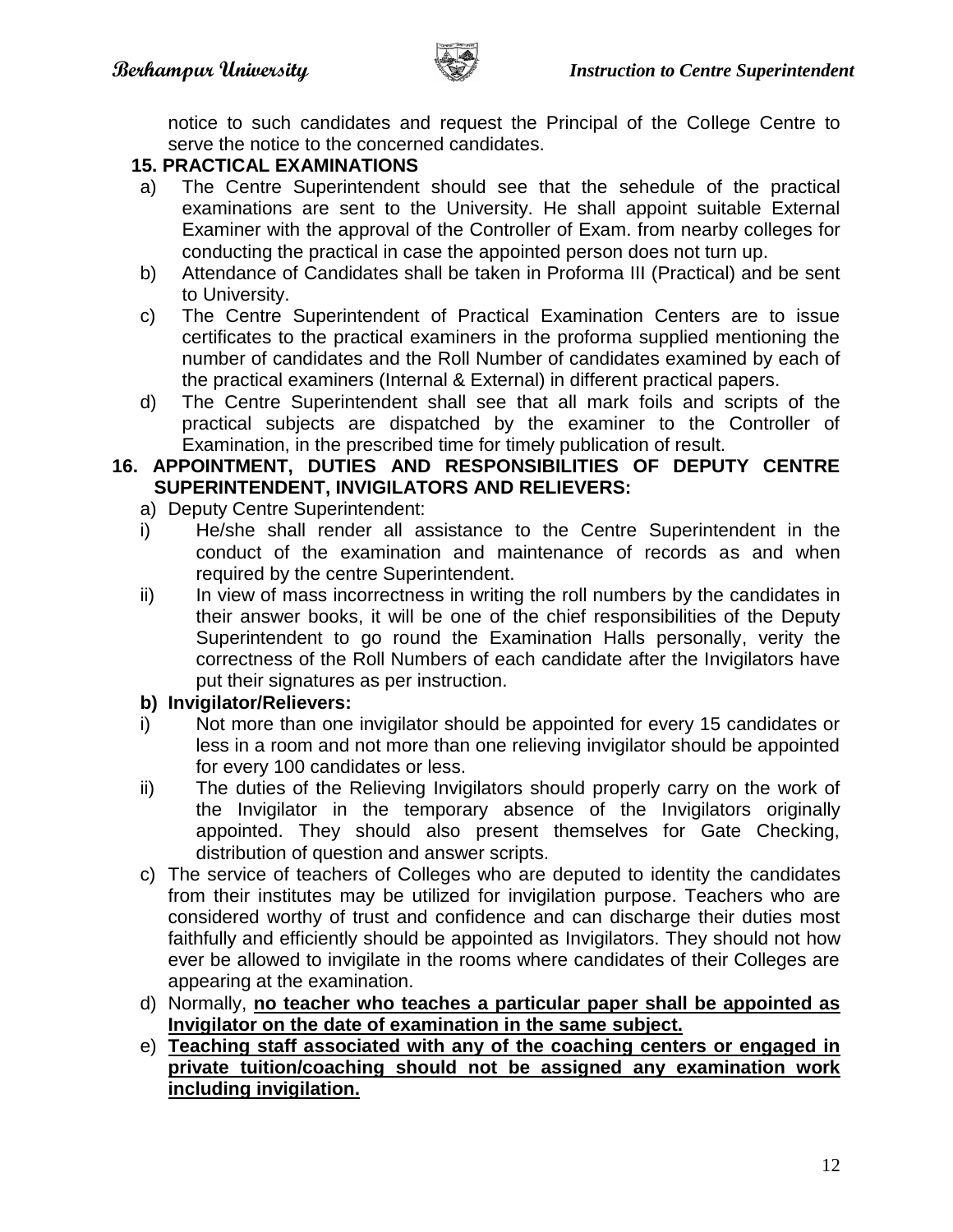

notice to such candidates and request the Principal of the College Centre to serve the notice to the concerned candidates.

#### **15. PRACTICAL EXAMINATIONS**

- a) The Centre Superintendent should see that the sehedule of the practical examinations are sent to the University. He shall appoint suitable External Examiner with the approval of the Controller of Exam. from nearby colleges for conducting the practical in case the appointed person does not turn up.
- b) Attendance of Candidates shall be taken in Proforma III (Practical) and be sent to University.
- c) The Centre Superintendent of Practical Examination Centers are to issue certificates to the practical examiners in the proforma supplied mentioning the number of candidates and the Roll Number of candidates examined by each of the practical examiners (Internal & External) in different practical papers.
- d) The Centre Superintendent shall see that all mark foils and scripts of the practical subjects are dispatched by the examiner to the Controller of Examination, in the prescribed time for timely publication of result.

#### **16. APPOINTMENT, DUTIES AND RESPONSIBILITIES OF DEPUTY CENTRE SUPERINTENDENT, INVIGILATORS AND RELIEVERS:**

- a) Deputy Centre Superintendent:
- i) He/she shall render all assistance to the Centre Superintendent in the conduct of the examination and maintenance of records as and when required by the centre Superintendent.
- ii) In view of mass incorrectness in writing the roll numbers by the candidates in their answer books, it will be one of the chief responsibilities of the Deputy Superintendent to go round the Examination Halls personally, verity the correctness of the Roll Numbers of each candidate after the Invigilators have put their signatures as per instruction.

#### **b) Invigilator/Relievers:**

- i) Not more than one invigilator should be appointed for every 15 candidates or less in a room and not more than one relieving invigilator should be appointed for every 100 candidates or less.
- ii) The duties of the Relieving Invigilators should properly carry on the work of the Invigilator in the temporary absence of the Invigilators originally appointed. They should also present themselves for Gate Checking, distribution of question and answer scripts.
- c) The service of teachers of Colleges who are deputed to identity the candidates from their institutes may be utilized for invigilation purpose. Teachers who are considered worthy of trust and confidence and can discharge their duties most faithfully and efficiently should be appointed as Invigilators. They should not how ever be allowed to invigilate in the rooms where candidates of their Colleges are appearing at the examination.
- d) Normally, **no teacher who teaches a particular paper shall be appointed as Invigilator on the date of examination in the same subject.**
- e) **Teaching staff associated with any of the coaching centers or engaged in private tuition/coaching should not be assigned any examination work including invigilation.**